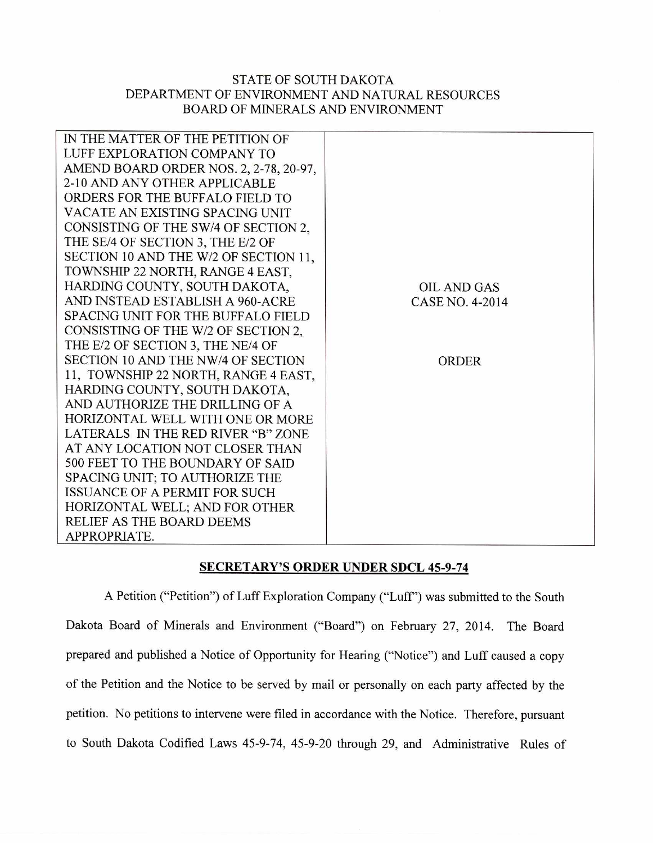## STATE OF SOUTH DAKOTA DEPARTMENT OF ENVIRONMENT AND NATURAL RESOURCES BOARD OF MINERALS AND ENVIRONMENT

| IN THE MATTER OF THE PETITION OF          |                    |
|-------------------------------------------|--------------------|
| LUFF EXPLORATION COMPANY TO               |                    |
| AMEND BOARD ORDER NOS. 2, 2-78, 20-97.    |                    |
| 2-10 AND ANY OTHER APPLICABLE             |                    |
| ORDERS FOR THE BUFFALO FIELD TO           |                    |
| VACATE AN EXISTING SPACING UNIT           |                    |
| CONSISTING OF THE SW/4 OF SECTION 2,      |                    |
| THE SE/4 OF SECTION 3, THE E/2 OF         |                    |
| SECTION 10 AND THE W/2 OF SECTION 11,     |                    |
| TOWNSHIP 22 NORTH, RANGE 4 EAST,          |                    |
| HARDING COUNTY, SOUTH DAKOTA,             | <b>OIL AND GAS</b> |
| AND INSTEAD ESTABLISH A 960-ACRE          | CASE NO. 4-2014    |
| <b>SPACING UNIT FOR THE BUFFALO FIELD</b> |                    |
| CONSISTING OF THE W/2 OF SECTION 2.       |                    |
| THE E/2 OF SECTION 3, THE NE/4 OF         |                    |
| SECTION 10 AND THE NW/4 OF SECTION        | ORDER              |
| 11, TOWNSHIP 22 NORTH, RANGE 4 EAST,      |                    |
| HARDING COUNTY, SOUTH DAKOTA,             |                    |
| AND AUTHORIZE THE DRILLING OF A           |                    |
| HORIZONTAL WELL WITH ONE OR MORE          |                    |
| LATERALS IN THE RED RIVER "B" ZONE        |                    |
| AT ANY LOCATION NOT CLOSER THAN           |                    |
| 500 FEET TO THE BOUNDARY OF SAID          |                    |
| SPACING UNIT; TO AUTHORIZE THE            |                    |
| ISSUANCE OF A PERMIT FOR SUCH             |                    |
| HORIZONTAL WELL; AND FOR OTHER            |                    |
| <b>RELIEF AS THE BOARD DEEMS</b>          |                    |
| APPROPRIATE.                              |                    |
|                                           |                    |

## SECRETARY'S ORDER UNDER SDCL 45-9-74

A Petition ("Petition") of Luff Exploration Company ("Luff') was submitted to the South Dakota Board of Minerals and Environment ("Board") on February 27, 2014. The Board prepared and published a Notice of Opportunity for Hearing ("Notice") and Luff caused a copy of the Petition and the Notice to be served by mail or personally on each party affected by the petition. No petitions to intervene were filed in accordance with the Notice. Therefore, pursuant to South Dakota Codified Laws 45-9-74, 45-9-20 through 29, and Administrative Rules of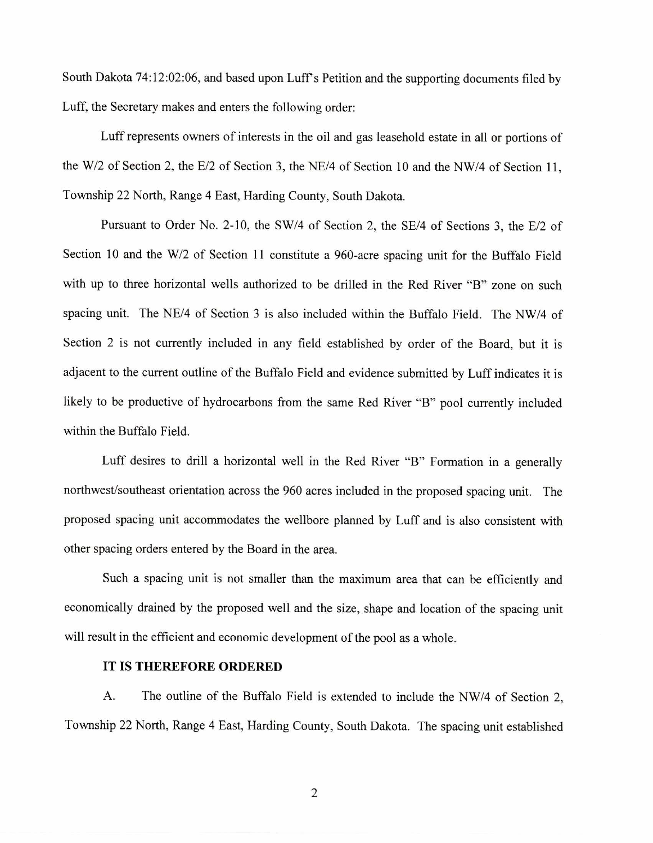South Dakota 74:12:02:06, and based upon Luff's Petition and the supporting documents filed by Luff, the Secretary makes and enters the following order:

Luff represents owners of interests in the oil and gas leasehold estate in all or portions of the W/2 of Section 2, the E/2 of Section 3, the NE/4 of Section 10 and the NW/4 of Section 11, Township 22 North, Range 4 East, Harding County, South Dakota.

Pursuant to Order No. 2-10, the SW/4 of Section 2, the SE/4 of Sections 3, the E/2 of Section 10 and the W/2 of Section 11 constitute a 960-acre spacing unit for the Buffalo Field with up to three horizontal wells authorized to be drilled in the Red River "B" zone on such spacing unit. The NE/4 of Section 3 is also included within the Buffalo Field. The NW/4 of Section 2 is not currently included in any field established by order of the Board, but it is adjacent to the current outline of the Buffalo Field and evidence submitted by Luff indicates it is likely to be productive of hydrocarbons from the same Red River "B" pool currently included within the Buffalo Field.

Luff desires to drill a horizontal well in the Red River "B" Formation in a generally northwest/southeast orientation across the 960 acres included in the proposed spacing unit. The proposed spacing unit accommodates the wellbore planned by Luff and is also consistent with other spacing orders entered by the Board in the area.

Such a spacing unit is not smaller than the maximum area that can be efficiently and economically drained by the proposed well and the size, shape and location of the spacing unit will result in the efficient and economic development of the pool as a whole.

## **IT IS THEREFORE ORDERED**

A. The outline of the Buffalo Field is extended to include the NW/4 of Section 2, Township 22 North, Range 4 East, Harding County, South Dakota. The spacing unit established